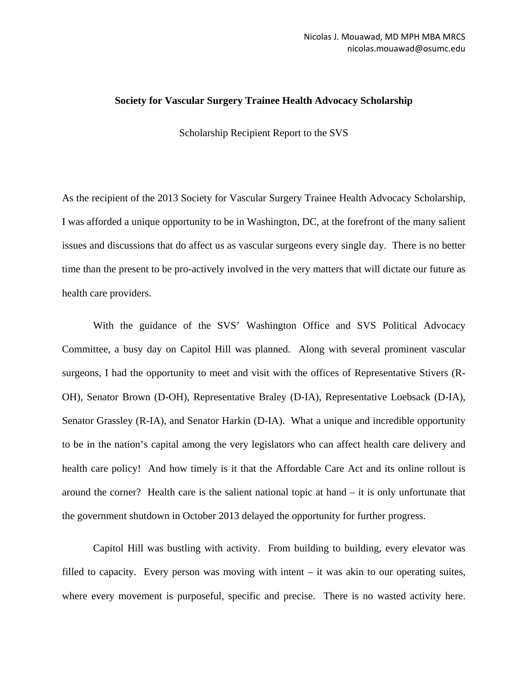## **Society for Vascular Surgery Trainee Health Advocacy Scholarship**

Scholarship Recipient Report to the SVS

As the recipient of the 2013 Society for Vascular Surgery Trainee Health Advocacy Scholarship, I was afforded a unique opportunity to be in Washington, DC, at the forefront of the many salient issues and discussions that do affect us as vascular surgeons every single day. There is no better time than the present to be pro-actively involved in the very matters that will dictate our future as health care providers.

With the guidance of the SVS' Washington Office and SVS Political Advocacy Committee, a busy day on Capitol Hill was planned. Along with several prominent vascular surgeons, I had the opportunity to meet and visit with the offices of Representative Stivers (R-OH), Senator Brown (D-OH), Representative Braley (D-IA), Representative Loebsack (D-IA), Senator Grassley (R-IA), and Senator Harkin (D-IA). What a unique and incredible opportunity to be in the nation's capital among the very legislators who can affect health care delivery and health care policy! And how timely is it that the Affordable Care Act and its online rollout is around the corner? Health care is the salient national topic at hand – it is only unfortunate that the government shutdown in October 2013 delayed the opportunity for further progress.

Capitol Hill was bustling with activity. From building to building, every elevator was filled to capacity. Every person was moving with intent – it was akin to our operating suites, where every movement is purposeful, specific and precise. There is no wasted activity here.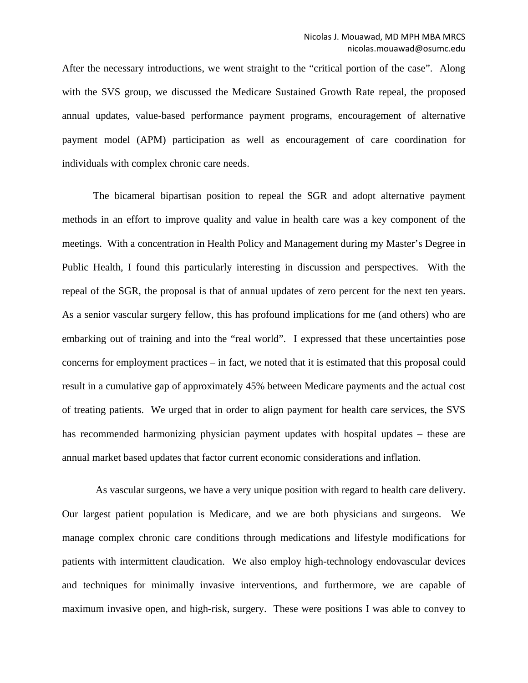After the necessary introductions, we went straight to the "critical portion of the case". Along with the SVS group, we discussed the Medicare Sustained Growth Rate repeal, the proposed annual updates, value-based performance payment programs, encouragement of alternative payment model (APM) participation as well as encouragement of care coordination for individuals with complex chronic care needs.

The bicameral bipartisan position to repeal the SGR and adopt alternative payment methods in an effort to improve quality and value in health care was a key component of the meetings. With a concentration in Health Policy and Management during my Master's Degree in Public Health, I found this particularly interesting in discussion and perspectives. With the repeal of the SGR, the proposal is that of annual updates of zero percent for the next ten years. As a senior vascular surgery fellow, this has profound implications for me (and others) who are embarking out of training and into the "real world". I expressed that these uncertainties pose concerns for employment practices – in fact, we noted that it is estimated that this proposal could result in a cumulative gap of approximately 45% between Medicare payments and the actual cost of treating patients. We urged that in order to align payment for health care services, the SVS has recommended harmonizing physician payment updates with hospital updates – these are annual market based updates that factor current economic considerations and inflation.

As vascular surgeons, we have a very unique position with regard to health care delivery. Our largest patient population is Medicare, and we are both physicians and surgeons. We manage complex chronic care conditions through medications and lifestyle modifications for patients with intermittent claudication. We also employ high-technology endovascular devices and techniques for minimally invasive interventions, and furthermore, we are capable of maximum invasive open, and high-risk, surgery. These were positions I was able to convey to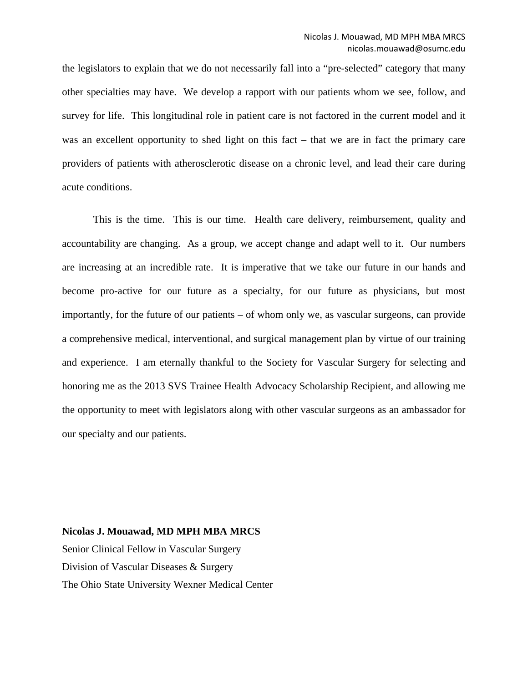the legislators to explain that we do not necessarily fall into a "pre-selected" category that many other specialties may have. We develop a rapport with our patients whom we see, follow, and survey for life. This longitudinal role in patient care is not factored in the current model and it was an excellent opportunity to shed light on this fact – that we are in fact the primary care providers of patients with atherosclerotic disease on a chronic level, and lead their care during acute conditions.

This is the time. This is our time. Health care delivery, reimbursement, quality and accountability are changing. As a group, we accept change and adapt well to it. Our numbers are increasing at an incredible rate. It is imperative that we take our future in our hands and become pro-active for our future as a specialty, for our future as physicians, but most importantly, for the future of our patients – of whom only we, as vascular surgeons, can provide a comprehensive medical, interventional, and surgical management plan by virtue of our training and experience. I am eternally thankful to the Society for Vascular Surgery for selecting and honoring me as the 2013 SVS Trainee Health Advocacy Scholarship Recipient, and allowing me the opportunity to meet with legislators along with other vascular surgeons as an ambassador for our specialty and our patients.

**Nicolas J. Mouawad, MD MPH MBA MRCS** Senior Clinical Fellow in Vascular Surgery Division of Vascular Diseases & Surgery The Ohio State University Wexner Medical Center